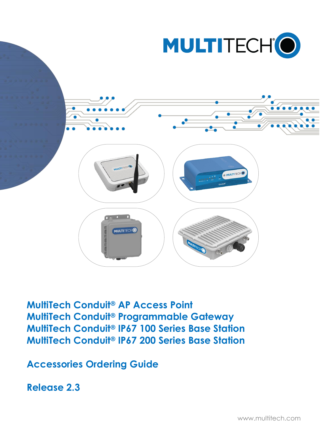



**MultiTech Conduit® AP Access Point MultiTech Conduit® Programmable Gateway MultiTech Conduit® IP67 100 Series Base Station MultiTech Conduit® IP67 200 Series Base Station**

**Accessories Ordering Guide**

**Release 2.3**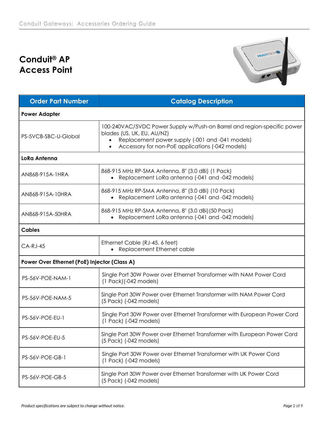# **Conduit® AP Access Point**



| <b>Order Part Number</b>                     | <b>Catalog Description</b>                                                                                                                                                                                                |  |  |
|----------------------------------------------|---------------------------------------------------------------------------------------------------------------------------------------------------------------------------------------------------------------------------|--|--|
| <b>Power Adapter</b>                         |                                                                                                                                                                                                                           |  |  |
| PS-5VCB-SBC-U-Global                         | 100-240VAC/5VDC Power Supply w/Push-on Barrel and region-specific power<br>blades (US, UK, EU, AU/NZ)<br>Replacement power supply (-001 and -041 models)<br>Accessory for non-PoE applications (-042 models)<br>$\bullet$ |  |  |
| <b>LoRa Antenna</b>                          |                                                                                                                                                                                                                           |  |  |
| AN868-915A-1HRA                              | 868-915 MHz RP-SMA Antenna, 8" (3.0 dBi) (1 Pack)<br>• Replacement LoRa antenna (-041 and -042 models)                                                                                                                    |  |  |
| AN868-915A-10HRA                             | 868-915 MHz RP-SMA Antenna, 8" (3.0 dBi) (10 Pack)<br>• Replacement LoRa antenna (-041 and -042 models)                                                                                                                   |  |  |
| AN868-915A-50HRA                             | 868-915 MHz RP-SMA Antenna, 8" (3.0 dBi) (50 Pack)<br>• Replacement LoRa antenna (-041 and -042 models)                                                                                                                   |  |  |
| <b>Cables</b>                                |                                                                                                                                                                                                                           |  |  |
| $CA-RJ-45$                                   | Ethernet Cable (RJ-45, 6 feet)<br>• Replacement Ethernet cable                                                                                                                                                            |  |  |
| Power Over Ethernet (PoE) Injector (Class A) |                                                                                                                                                                                                                           |  |  |
| PS-56V-POE-NAM-1                             | Single Port 30W Power over Ethernet Transformer with NAM Power Cord<br>$(1$ Pack) $(-042$ models)                                                                                                                         |  |  |
| PS-56V-POE-NAM-5                             | Single Port 30W Power over Ethernet Transformer with NAM Power Cord<br>(5 Pack) (-042 models)                                                                                                                             |  |  |
| <b>PS-56V-POE-EU-1</b>                       | Single Port 30W Power over Ethernet Transformer with European Power Cord<br>$(1$ Pack) $(-042$ models)                                                                                                                    |  |  |
| PS-56V-POE-EU-5                              | Single Port 30W Power over Ethernet Transformer with European Power Cord<br>(5 Pack) (-042 models)                                                                                                                        |  |  |
| PS-56V-POE-GB-1                              | Single Port 30W Power over Ethernet Transformer with UK Power Cord<br>$(1$ Pack) $(-042$ models)                                                                                                                          |  |  |
| PS-56V-POE-GB-5                              | Single Port 30W Power over Ethernet Transformer with UK Power Cord<br>(5 Pack) (-042 models)                                                                                                                              |  |  |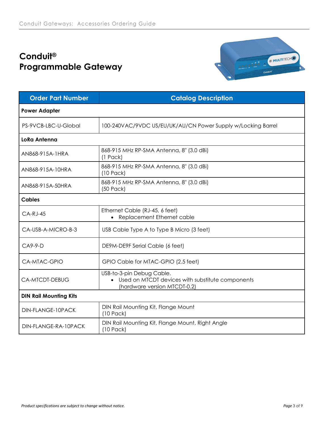# **Conduit® Programmable Gateway**



| <b>Order Part Number</b>      | <b>Catalog Description</b>                                                                                      |  |  |
|-------------------------------|-----------------------------------------------------------------------------------------------------------------|--|--|
| <b>Power Adapter</b>          |                                                                                                                 |  |  |
| PS-9VCB-LBC-U-Global          | 100-240VAC/9VDC US/EU/UK/AU/CN Power Supply w/Locking Barrel                                                    |  |  |
| LoRa Antenna                  |                                                                                                                 |  |  |
| AN868-915A-1HRA               | 868-915 MHz RP-SMA Antenna, 8" (3.0 dBi)<br>$(1$ Pack)                                                          |  |  |
| AN868-915A-10HRA              | 868-915 MHz RP-SMA Antenna, 8" (3.0 dBi)<br>$(10$ Pack)                                                         |  |  |
| AN868-915A-50HRA              | 868-915 MHz RP-SMA Antenna, 8" (3.0 dBi)<br>(50 Pack)                                                           |  |  |
| <b>Cables</b>                 |                                                                                                                 |  |  |
| $CA-RJ-45$                    | Ethernet Cable (RJ-45, 6 feet)<br>• Replacement Ethernet cable                                                  |  |  |
| CA-USB-A-MICRO-B-3            | USB Cable Type A to Type B Micro (3 feet)                                                                       |  |  |
| $C_A9-9-D$                    | DE9M-DE9F Serial Cable (6 feet)                                                                                 |  |  |
| CA-MTAC-GPIO                  | GPIO Cable for MTAC-GPIO (2.5 feet)                                                                             |  |  |
| CA-MTCDT-DEBUG                | USB-to-3-pin Debug Cable.<br>• Used on MTCDT devices with substitute components<br>(hardware version MTCDT-0.2) |  |  |
| <b>DIN Rail Mounting Kits</b> |                                                                                                                 |  |  |
| DIN-FLANGE-10PACK             | DIN Rail Mounting Kit, Flange Mount<br>$(10$ Pack $)$                                                           |  |  |
| DIN-FLANGE-RA-10PACK          | DIN Rail Mounting Kit, Flange Mount, Right Angle<br>$(10$ Pack $)$                                              |  |  |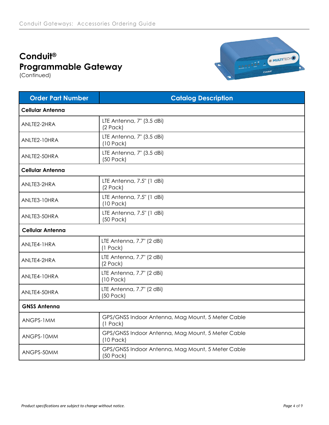# **Conduit® Programmable Gateway**

(Continued)



| <b>Order Part Number</b> | <b>Catalog Description</b>                                       |  |  |
|--------------------------|------------------------------------------------------------------|--|--|
| <b>Cellular Antenna</b>  |                                                                  |  |  |
| ANLTE2-2HRA              | LTE Antenna, 7" (3.5 dBi)<br>$(2$ Pack)                          |  |  |
| ANLTE2-10HRA             | LTE Antenna, 7" (3.5 dBi)<br>$(10$ Pack)                         |  |  |
| ANLTE2-50HRA             | LTE Antenna, 7" (3.5 dBi)<br>(50 Pack)                           |  |  |
| <b>Cellular Antenna</b>  |                                                                  |  |  |
| ANLTE3-2HRA              | LTE Antenna, 7.5" (1 dBi)<br>$(2$ Pack)                          |  |  |
| ANLTE3-10HRA             | LTE Antenna, 7.5" (1 dBi)<br>$(10$ Pack)                         |  |  |
| ANLTE3-50HRA             | LTE Antenna, 7.5" (1 dBi)<br>(50 Pack)                           |  |  |
| <b>Cellular Antenna</b>  |                                                                  |  |  |
| ANLTE4-1HRA              | LTE Antenna, 7.7" (2 dBi)<br>$(1$ Pack)                          |  |  |
| ANLTE4-2HRA              | LTE Antenna, 7.7" (2 dBi)<br>$(2$ Pack)                          |  |  |
| ANLTE4-10HRA             | LTE Antenna, 7.7" (2 dBi)<br>$(10$ Pack)                         |  |  |
| ANLTE4-50HRA             | LTE Antenna, 7.7" (2 dBi)<br>(50 Pack)                           |  |  |
| <b>GNSS Antenna</b>      |                                                                  |  |  |
| ANGPS-1MM                | GPS/GNSS Indoor Antenna, Mag Mount, 5 Meter Cable<br>$(1$ Pack)  |  |  |
| ANGPS-10MM               | GPS/GNSS Indoor Antenna, Mag Mount, 5 Meter Cable<br>$(10$ Pack) |  |  |
| ANGPS-50MM               | GPS/GNSS Indoor Antenna, Mag Mount, 5 Meter Cable<br>(50 Pack)   |  |  |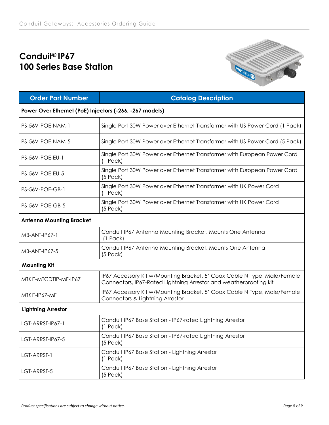## **Conduit® IP67 100 Series Base Station**



| <b>Order Part Number</b>                                | <b>Catalog Description</b>                                                                                                                    |  |  |
|---------------------------------------------------------|-----------------------------------------------------------------------------------------------------------------------------------------------|--|--|
| Power Over Ethernet (PoE) Injectors (-266, -267 models) |                                                                                                                                               |  |  |
| PS-56V-POE-NAM-1                                        | Single Port 30W Power over Ethernet Transformer with US Power Cord (1 Pack)                                                                   |  |  |
| PS-56V-POE-NAM-5                                        | Single Port 30W Power over Ethernet Transformer with US Power Cord (5 Pack)                                                                   |  |  |
| <b>PS-56V-POE-EU-1</b>                                  | Single Port 30W Power over Ethernet Transformer with European Power Cord<br>$(1$ Pack)                                                        |  |  |
| PS-56V-POE-EU-5                                         | Single Port 30W Power over Ethernet Transformer with European Power Cord<br>$(5$ Pack)                                                        |  |  |
| PS-56V-POE-GB-1                                         | Single Port 30W Power over Ethernet Transformer with UK Power Cord<br>$(1$ Pack)                                                              |  |  |
| PS-56V-POE-GB-5                                         | Single Port 30W Power over Ethernet Transformer with UK Power Cord<br>$(5$ Pack)                                                              |  |  |
| <b>Antenna Mounting Bracket</b>                         |                                                                                                                                               |  |  |
| MB-ANT-IP67-1                                           | Conduit IP67 Antenna Mounting Bracket, Mounts One Antenna<br>$(1$ Pack)                                                                       |  |  |
| MB-ANT-IP67-5                                           | Conduit IP67 Antenna Mounting Bracket, Mounts One Antenna<br>$(5$ Pack)                                                                       |  |  |
| <b>Mounting Kit</b>                                     |                                                                                                                                               |  |  |
| MTKIT-MTCDTIP-MF-IP67                                   | IP67 Accessory Kit w/Mounting Bracket, 5' Coax Cable N Type, Male/Female<br>Connectors, IP67-Rated Lightning Arrestor and weatherproofing kit |  |  |
| MTKIT-IP67-MF                                           | IP67 Accessory Kit w/Mounting Bracket, 5' Coax Cable N Type, Male/Female<br>Connectors & Lightning Arrestor                                   |  |  |
| <b>Lightning Arrestor</b>                               |                                                                                                                                               |  |  |
| LGT-ARRST-IP67-1                                        | Conduit IP67 Base Station - IP67-rated Lightning Arrestor<br>$(1$ Pack)                                                                       |  |  |
| LGT-ARRST-IP67-5                                        | Conduit IP67 Base Station - IP67-rated Lightning Arrestor<br>$(5$ Pack)                                                                       |  |  |
| LGT-ARRST-1                                             | Conduit IP67 Base Station - Lightning Arrestor<br>$(1$ Pack)                                                                                  |  |  |
| LGT-ARRST-5                                             | Conduit IP67 Base Station - Lightning Arrestor<br>$(5$ Pack)                                                                                  |  |  |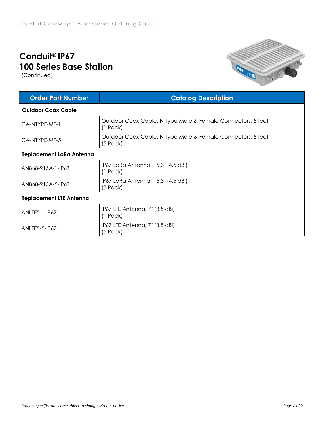## **Conduit® IP67 100 Series Base Station**

(Continued)



| <b>Order Part Number</b>        | <b>Catalog Description</b>                                                |  |  |
|---------------------------------|---------------------------------------------------------------------------|--|--|
| <b>Outdoor Coax Cable</b>       |                                                                           |  |  |
| CA-NTYPE-MF-1                   | Outdoor Coax Cable, N Type Male & Female Connectors, 5 feet<br>$(1$ Pack) |  |  |
| CA-NTYPE-MF-5                   | Outdoor Coax Cable, N Type Male & Female Connectors, 5 feet<br>$(5$ Pack) |  |  |
| <b>Replacement LoRa Antenna</b> |                                                                           |  |  |
| AN868-915A-1-IP67               | IP67 LoRa Antenna, 15.3" (4.5 dBi)<br>$(1$ Pack)                          |  |  |
| AN868-915A-5-IP67               | IP67 LoRa Antenna, 15.3" (4.5 dBi)<br>$(5$ Pack $)$                       |  |  |
| <b>Replacement LTE Antenna</b>  |                                                                           |  |  |
| <b>ANLTE5-1-IP67</b>            | IP67 LTE Antenna, 7" (3.5 dBi)<br>$(1$ Pack)                              |  |  |
| <b>ANLTE5-5-IP67</b>            | IP67 LTE Antenna, 7" (3.5 dBi)<br>(5 Pack)                                |  |  |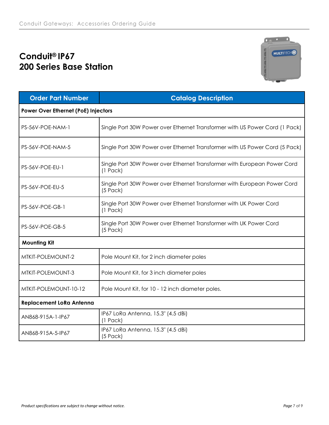## **Conduit® IP67 200 Series Base Station**



| <b>Order Part Number</b>            | <b>Catalog Description</b>                                                             |  |  |
|-------------------------------------|----------------------------------------------------------------------------------------|--|--|
| Power Over Ethernet (PoE) Injectors |                                                                                        |  |  |
| PS-56V-POE-NAM-1                    | Single Port 30W Power over Ethernet Transformer with US Power Cord (1 Pack)            |  |  |
| PS-56V-POE-NAM-5                    | Single Port 30W Power over Ethernet Transformer with US Power Cord (5 Pack)            |  |  |
| PS-56V-POE-EU-1                     | Single Port 30W Power over Ethernet Transformer with European Power Cord<br>$(1$ Pack) |  |  |
| PS-56V-POE-EU-5                     | Single Port 30W Power over Ethernet Transformer with European Power Cord<br>$(5$ Pack) |  |  |
| PS-56V-POE-GB-1                     | Single Port 30W Power over Ethernet Transformer with UK Power Cord<br>$(1$ Pack)       |  |  |
| PS-56V-POE-GB-5                     | Single Port 30W Power over Ethernet Transformer with UK Power Cord<br>$(5$ Pack)       |  |  |
| <b>Mounting Kit</b>                 |                                                                                        |  |  |
| MTKIT-POLEMOUNT-2                   | Pole Mount Kit, for 2 inch diameter poles                                              |  |  |
| MTKIT-POLEMOUNT-3                   | Pole Mount Kit, for 3 inch diameter poles                                              |  |  |
| MTKIT-POLEMOUNT-10-12               | Pole Mount Kit, for 10 - 12 inch diameter poles.                                       |  |  |
| <b>Replacement LoRa Antenna</b>     |                                                                                        |  |  |
| AN868-915A-1-IP67                   | IP67 LoRa Antenna, 15.3" (4.5 dBi)<br>$(1$ Pack)                                       |  |  |
| AN868-915A-5-IP67                   | IP67 LoRa Antenna, 15.3" (4.5 dBi)<br>$(5$ Pack)                                       |  |  |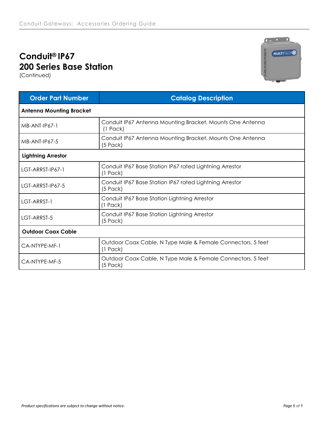## **Conduit® IP67 200 Series Base Station**

(Continued)



| <b>Order Part Number</b>        | <b>Catalog Description</b>                                                   |  |  |
|---------------------------------|------------------------------------------------------------------------------|--|--|
| <b>Antenna Mounting Bracket</b> |                                                                              |  |  |
| MB-ANT-IP67-1                   | Conduit IP67 Antenna Mounting Bracket, Mounts One Antenna<br>$(1$ Pack)      |  |  |
| MB-ANT-IP67-5                   | Conduit IP67 Antenna Mounting Bracket, Mounts One Antenna<br>$(5$ Pack)      |  |  |
| <b>Lightning Arrestor</b>       |                                                                              |  |  |
| LGT-ARRST-IP67-1                | Conduit IP67 Base Station IP67 rated Lightning Arrestor<br>$(1$ Pack $)$     |  |  |
| LGT-ARRST-IP67-5                | Conduit IP67 Base Station IP67 rated Lightning Arrestor<br>$(5$ Pack)        |  |  |
| LGT-ARRST-1                     | Conduit IP67 Base Station Lightning Arrestor<br>$(1$ Pack)                   |  |  |
| LGT-ARRST-5                     | Conduit IP67 Base Station Lightning Arrestor<br>$(5$ Pack)                   |  |  |
| <b>Outdoor Coax Cable</b>       |                                                                              |  |  |
| CA-NTYPE-MF-1                   | Outdoor Coax Cable, N Type Male & Female Connectors, 5 feet<br>$(1$ Pack $)$ |  |  |
| CA-NTYPE-MF-5                   | Outdoor Coax Cable, N Type Male & Female Connectors, 5 feet<br>$(5$ Pack)    |  |  |